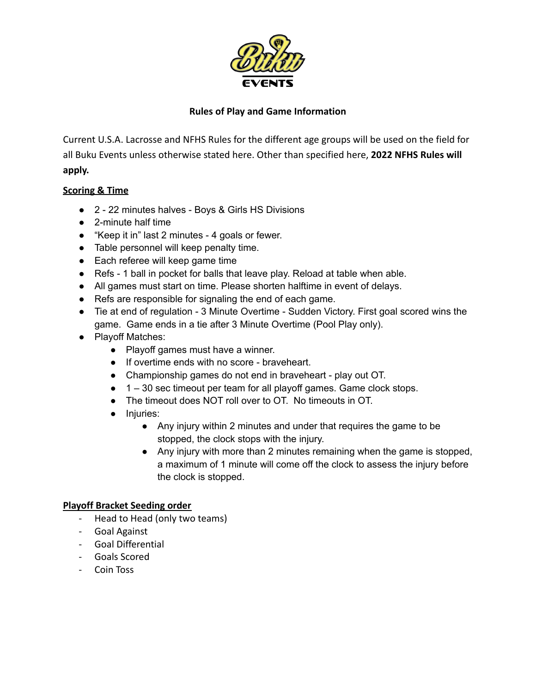

# **Rules of Play and Game Information**

Current U.S.A. Lacrosse and NFHS Rules for the different age groups will be used on the field for all Buku Events unless otherwise stated here. Other than specified here, **2022 NFHS Rules will apply.**

# **Scoring & Time**

- 2 22 minutes halves Boys & Girls HS Divisions
- 2-minute half time
- "Keep it in" last 2 minutes 4 goals or fewer.
- Table personnel will keep penalty time.
- Each referee will keep game time
- Refs 1 ball in pocket for balls that leave play. Reload at table when able.
- All games must start on time. Please shorten halftime in event of delays.
- Refs are responsible for signaling the end of each game.
- Tie at end of regulation 3 Minute Overtime Sudden Victory. First goal scored wins the game. Game ends in a tie after 3 Minute Overtime (Pool Play only).
- Playoff Matches:
	- Playoff games must have a winner.
	- If overtime ends with no score braveheart.
	- Championship games do not end in braveheart play out OT.
	- 1 30 sec timeout per team for all playoff games. Game clock stops.
	- The timeout does NOT roll over to OT. No timeouts in OT.
	- Injuries:
		- Any injury within 2 minutes and under that requires the game to be stopped, the clock stops with the injury.
		- Any injury with more than 2 minutes remaining when the game is stopped, a maximum of 1 minute will come off the clock to assess the injury before the clock is stopped.

#### **Playoff Bracket Seeding order**

- Head to Head (only two teams)
- Goal Against
- Goal Differential
- Goals Scored
- Coin Toss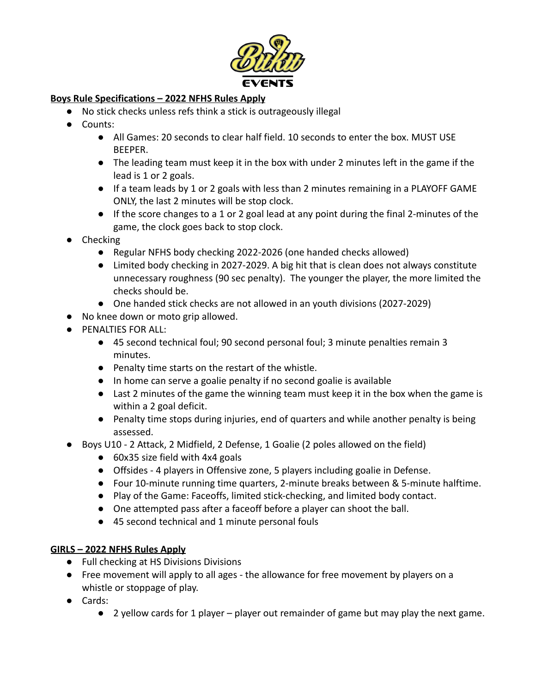

# **Boys Rule Specifications – 2022 NFHS Rules Apply**

- No stick checks unless refs think a stick is outrageously illegal
- Counts:
	- All Games: 20 seconds to clear half field. 10 seconds to enter the box. MUST USE BEEPER.
	- The leading team must keep it in the box with under 2 minutes left in the game if the lead is 1 or 2 goals.
	- If a team leads by 1 or 2 goals with less than 2 minutes remaining in a PLAYOFF GAME ONLY, the last 2 minutes will be stop clock.
	- If the score changes to a 1 or 2 goal lead at any point during the final 2-minutes of the game, the clock goes back to stop clock.
- Checking
	- Regular NFHS body checking 2022-2026 (one handed checks allowed)
	- Limited body checking in 2027-2029. A big hit that is clean does not always constitute unnecessary roughness (90 sec penalty). The younger the player, the more limited the checks should be.
	- One handed stick checks are not allowed in an youth divisions (2027-2029)
- No knee down or moto grip allowed.
- PENALTIES FOR ALL:
	- 45 second technical foul; 90 second personal foul; 3 minute penalties remain 3 minutes.
	- Penalty time starts on the restart of the whistle.
	- In home can serve a goalie penalty if no second goalie is available
	- Last 2 minutes of the game the winning team must keep it in the box when the game is within a 2 goal deficit.
	- Penalty time stops during injuries, end of quarters and while another penalty is being assessed.
- Boys U10 2 Attack, 2 Midfield, 2 Defense, 1 Goalie (2 poles allowed on the field)
	- 60x35 size field with 4x4 goals
	- Offsides 4 players in Offensive zone, 5 players including goalie in Defense.
	- Four 10-minute running time quarters, 2-minute breaks between & 5-minute halftime.
	- Play of the Game: Faceoffs, limited stick-checking, and limited body contact.
	- One attempted pass after a faceoff before a player can shoot the ball.
	- 45 second technical and 1 minute personal fouls

### **GIRLS – 2022 NFHS Rules Apply**

- Full checking at HS Divisions Divisions
- Free movement will apply to all ages the allowance for free movement by players on a whistle or stoppage of play.
- Cards:
	- 2 yellow cards for 1 player player out remainder of game but may play the next game.